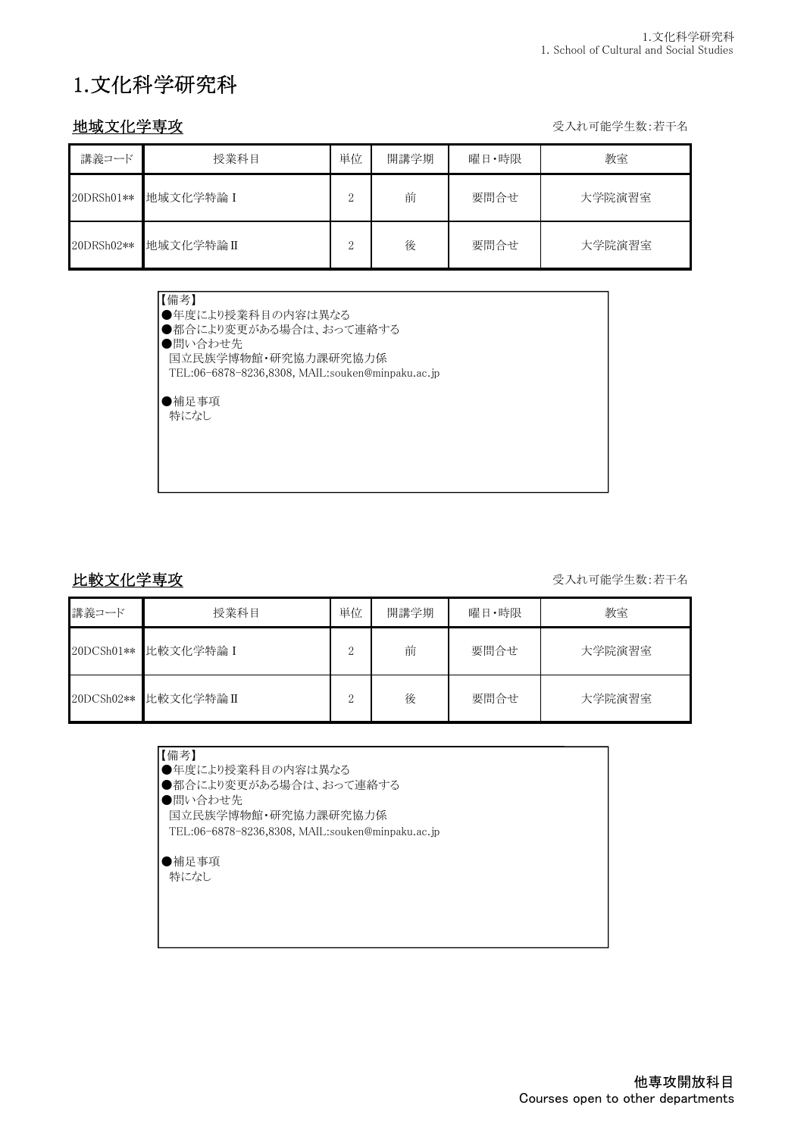# 1.文化科学研究科

地域文化学専攻 マイン インディー しょうしょう しょうしょう せいしゅう かいりょう 受入れ可能学生数:若干名

| 講義コード      | 授業科目      | 単位            | 開講学期 | 曜日・時限 | 教室     |
|------------|-----------|---------------|------|-------|--------|
| 20DRSh01** | 地域文化学特論 I | $\Omega$<br>∠ | 前    | 要問合せ  | 大学院演習室 |
| 20DRSh02** | 地域文化学特論Ⅱ  | $\Omega$      | 後    | 要問合せ  | 大学院演習室 |

| 【備考】                                             |
|--------------------------------------------------|
| ●年度により授業科目の内容は異なる                                |
| ●都合により変更がある場合は、おって連絡する                           |
| ●問い合わせ先                                          |
| 国立民族学博物館・研究協力課研究協力係                              |
| TEL:06-6878-8236,8308, MAIL:souken@minpaku.ac.jp |
|                                                  |
| ●補足事項                                            |
| 特になし                                             |
|                                                  |
|                                                  |
|                                                  |

比較文化学専攻 マイン インディー しょうかん かんきょう かんじょう かんきょう 受入れ可能学生数:若干名

| 講義コード      | 授業科目      | 単位       | 開講学期 | 曜日·時限 | 教室     |
|------------|-----------|----------|------|-------|--------|
| 20DCSh01** | 比較文化学特論 I | $\Omega$ | 前    | 要問合せ  | 大学院演習室 |
| 20DCSh02** | 比較文化学特論II | $\Omega$ | 後    | 要問合せ  | 大学院演習室 |

| 【備考】               |
|--------------------|
| ●年度により授業科目の内容は異なる  |
| ●都合により変更がある場合は、おって |
|                    |

「がある場合は、おって連絡する

●問い合わせ先

国立民族学博物館・研究協力課研究協力係

TEL:06-6878-8236,8308, MAIL:souken@minpaku.ac.jp